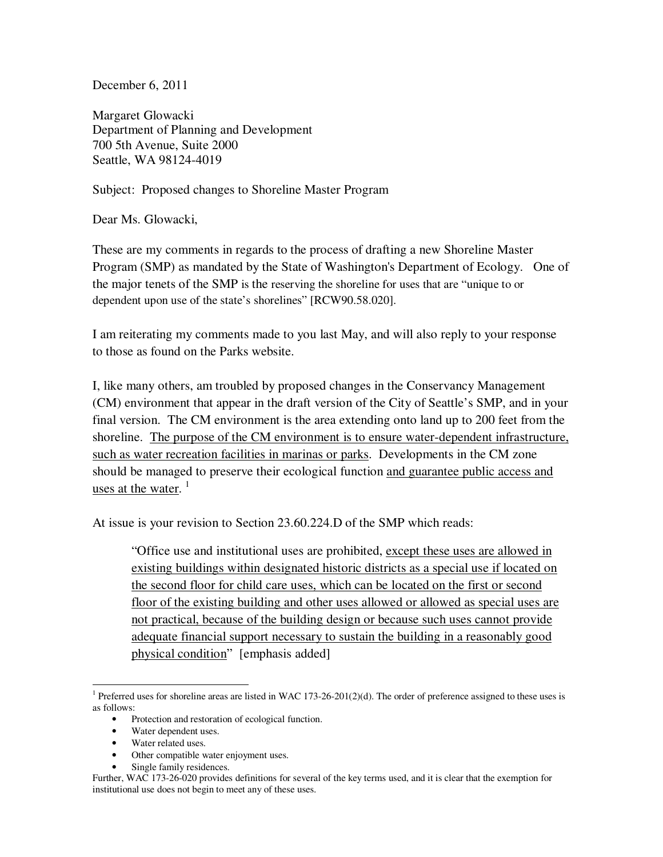December 6, 2011

Margaret Glowacki Department of Planning and Development 700 5th Avenue, Suite 2000 Seattle, WA 98124-4019

Subject: Proposed changes to Shoreline Master Program

Dear Ms. Glowacki,

These are my comments in regards to the process of drafting a new Shoreline Master Program (SMP) as mandated by the State of Washington's Department of Ecology. One of the major tenets of the SMP is the reserving the shoreline for uses that are "unique to or dependent upon use of the state's shorelines" [RCW90.58.020].

I am reiterating my comments made to you last May, and will also reply to your response to those as found on the Parks website.

I, like many others, am troubled by proposed changes in the Conservancy Management (CM) environment that appear in the draft version of the City of Seattle's SMP, and in your final version. The CM environment is the area extending onto land up to 200 feet from the shoreline. The purpose of the CM environment is to ensure water-dependent infrastructure, such as water recreation facilities in marinas or parks. Developments in the CM zone should be managed to preserve their ecological function and guarantee public access and uses at the water.<sup>1</sup>

At issue is your revision to Section 23.60.224.D of the SMP which reads:

"Office use and institutional uses are prohibited, except these uses are allowed in existing buildings within designated historic districts as a special use if located on the second floor for child care uses, which can be located on the first or second floor of the existing building and other uses allowed or allowed as special uses are not practical, because of the building design or because such uses cannot provide adequate financial support necessary to sustain the building in a reasonably good physical condition" [emphasis added]

 $\overline{a}$ 

<sup>&</sup>lt;sup>1</sup> Preferred uses for shoreline areas are listed in WAC 173-26-201(2)(d). The order of preference assigned to these uses is as follows:

<sup>•</sup> Protection and restoration of ecological function.

<sup>•</sup> Water dependent uses.

<sup>•</sup> Water related uses.

<sup>•</sup> Other compatible water enjoyment uses.

<sup>•</sup> Single family residences.

Further, WAC 173-26-020 provides definitions for several of the key terms used, and it is clear that the exemption for institutional use does not begin to meet any of these uses.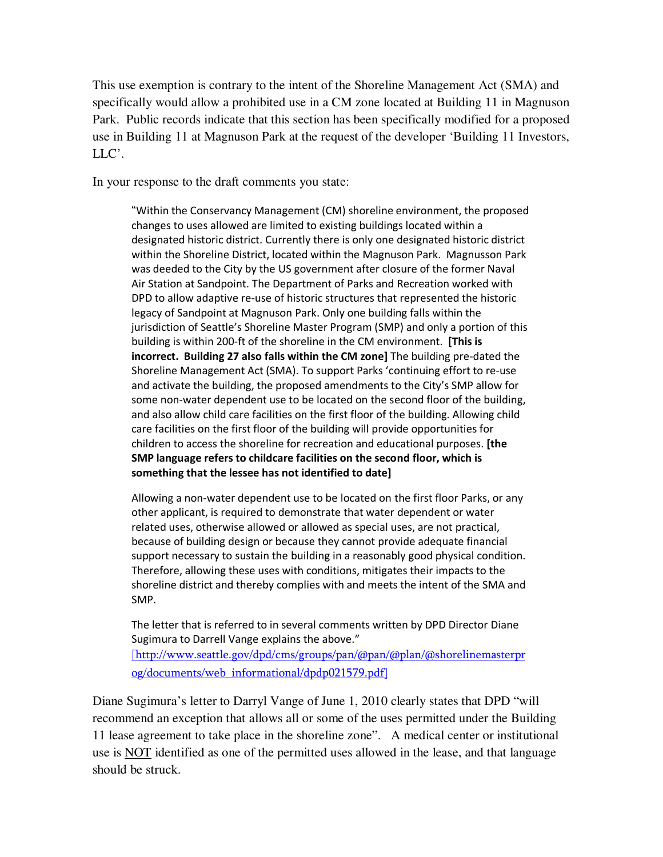This use exemption is contrary to the intent of the Shoreline Management Act (SMA) and specifically would allow a prohibited use in a CM zone located at Building 11 in Magnuson Park. Public records indicate that this section has been specifically modified for a proposed use in Building 11 at Magnuson Park at the request of the developer 'Building 11 Investors, LLC'.

In your response to the draft comments you state:

"Within the Conservancy Management (CM) shoreline environment, the proposed changes to uses allowed are limited to existing buildings located within a designated historic district. Currently there is only one designated historic district within the Shoreline District, located within the Magnuson Park. Magnusson Park was deeded to the City by the US government after closure of the former Naval Air Station at Sandpoint. The Department of Parks and Recreation worked with DPD to allow adaptive re-use of historic structures that represented the historic legacy of Sandpoint at Magnuson Park. Only one building falls within the jurisdiction of Seattle's Shoreline Master Program (SMP) and only a portion of this building is within 200‐ft of the shoreline in the CM environment. **[This is incorrect. Building 27 also falls within the CM zone]** The building pre-dated the Shoreline Management Act (SMA). To support Parks 'continuing effort to re‐use and activate the building, the proposed amendments to the City's SMP allow for some non-water dependent use to be located on the second floor of the building, and also allow child care facilities on the first floor of the building. Allowing child care facilities on the first floor of the building will provide opportunities for children to access the shoreline for recreation and educational purposes. **[the SMP language refers to childcare facilities on the second floor, which is something that the lessee has not identified to date]** 

Allowing a non‐water dependent use to be located on the first floor Parks, or any other applicant, is required to demonstrate that water dependent or water related uses, otherwise allowed or allowed as special uses, are not practical, because of building design or because they cannot provide adequate financial support necessary to sustain the building in a reasonably good physical condition. Therefore, allowing these uses with conditions, mitigates their impacts to the shoreline district and thereby complies with and meets the intent of the SMA and SMP.

The letter that is referred to in several comments written by DPD Director Diane Sugimura to Darrell Vange explains the above."

[http://www.seattle.gov/dpd/cms/groups/pan/@pan/@plan/@shorelinemasterpr og/documents/web\_informational/dpdp021579.pdf]

Diane Sugimura's letter to Darryl Vange of June 1, 2010 clearly states that DPD "will recommend an exception that allows all or some of the uses permitted under the Building 11 lease agreement to take place in the shoreline zone". A medical center or institutional use is NOT identified as one of the permitted uses allowed in the lease, and that language should be struck.